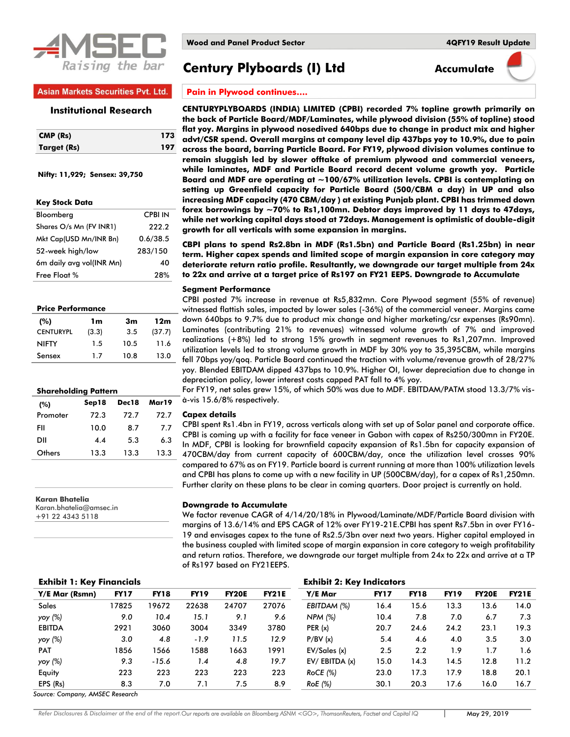

**Century Plyboards (I) Ltd Accumulate** 

## **Asian Markets Securities Pvt. Ltd.**

### **Institutional Research**

| CMP (Rs)    | 173 |
|-------------|-----|
| Target (Rs) | 197 |

 **Nifty: 11,929; Sensex: 39,750**

| <b>Key Stock Data</b>    |                |
|--------------------------|----------------|
| Bloomberg                | <b>CPBI IN</b> |
| Shares O/s Mn (FV INR1)  | 222.2          |
| Mkt Cap(USD Mn/INR Bn)   | 0.6/38.5       |
| 52-week high/low         | 283/150        |
| 6m daily avg vol(INR Mn) | 40             |
| Free Float %             | 28%            |
|                          |                |

#### **Price Performance**

| (%)              | 1m    | 3m   | 12m    |
|------------------|-------|------|--------|
| <b>CENTURYPL</b> | (3.3) | 3.5  | (37.7) |
| <b>NIFTY</b>     | 1.5   | 10.5 | 11.6   |
| Sensex           | 1.7   | 10.8 | 13.0   |

|          | <b>Shareholding Pattern</b> |       |       |  |  |
|----------|-----------------------------|-------|-------|--|--|
| (%)      | Sep18                       | Dec18 | Mar19 |  |  |
| Promoter | 72.3                        | 72.7  | 72.7  |  |  |
| FII      | 10.0                        | 8.7   | 7.7   |  |  |
| ווס      | 4.4                         | 53    | 6.3   |  |  |
| Others   | 13.3                        | 13.3  | 13.3  |  |  |

**Karan Bhatelia** Karan.bhatelia@amsec.in +91 22 4343 5118

**Pain in Plywood continues….**

**CENTURYPLYBOARDS (INDIA) LIMITED (CPBI) recorded 7% topline growth primarily on the back of Particle Board/MDF/Laminates, while plywood division (55% of topline) stood flat yoy. Margins in plywood nosedived 640bps due to change in product mix and higher advt/CSR spend. Overall margins at company level dip 437bps yoy to 10.9%, due to pain across the board, barring Particle Board. For FY19, plywood division volumes continue to remain sluggish led by slower offtake of premium plywood and commercial veneers, while laminates, MDF and Particle Board record decent volume growth yoy. Particle Board and MDF are operating at ~100/67% utilization levels. CPBI is contemplating on setting up Greenfield capacity for Particle Board (500/CBM a day) in UP and also increasing MDF capacity (470 CBM/day ) at existing Punjab plant. CPBI has trimmed down forex borrowings by ~70% to Rs1,100mn. Debtor days improved by 11 days to 47days, while net working capital days stood at 72days. Management is optimistic of double-digit growth for all verticals with some expansion in margins.**

**CBPI plans to spend Rs2.8bn in MDF (Rs1.5bn) and Particle Board (Rs1.25bn) in near term. Higher capex spends and limited scope of margin expansion in core category may deteriorate return ratio profile. Resultantly, we downgrade our target multiple from 24x to 22x and arrive at a target price of Rs197 on FY21 EEPS. Downgrade to Accumulate** 

#### **Segment Performance**

CPBI posted 7% increase in revenue at Rs5,832mn. Core Plywood segment (55% of revenue) witnessed flattish sales, impacted by lower sales (-36%) of the commercial veneer. Margins came down 640bps to 9.7% due to product mix change and higher marketing/csr expenses (Rs90mn). Laminates (contributing 21% to revenues) witnessed volume growth of 7% and improved realizations (+8%) led to strong 15% growth in segment revenues to Rs1,207mn. Improved utilization levels led to strong volume growth in MDF by 30% yoy to 35,395CBM, while margins fell 70bps yoy/qoq. Particle Board continued the traction with volume/revenue growth of 28/27% yoy. Blended EBITDAM dipped 437bps to 10.9%. Higher OI, lower depreciation due to change in depreciation policy, lower interest costs capped PAT fall to 4% yoy.

For FY19, net sales grew 15%, of which 50% was due to MDF. EBITDAM/PATM stood 13.3/7% visà-vis 15.6/8% respectively.

#### **Capex details**

CPBI spent Rs1.4bn in FY19, across verticals along with set up of Solar panel and corporate office. CPBI is coming up with a facility for face veneer in Gabon with capex of Rs250/300mn in FY20E. In MDF, CPBI is looking for brownfield capacity expansion of Rs1.5bn for capacity expansion of 470CBM/day from current capacity of 600CBM/day, once the utilization level crosses 90% compared to 67% as on FY19. Particle board is current running at more than 100% utilization levels and CPBI has plans to come up with a new facility in UP (500CBM/day), for a capex of Rs1,250mn. Further clarity on these plans to be clear in coming quarters. Door project is currently on hold.

#### **Downgrade to Accumulate**

We factor revenue CAGR of 4/14/20/18% in Plywood/Laminate/MDF/Particle Board division with margins of 13.6/14% and EPS CAGR of 12% over FY19-21E.CPBI has spent Rs7.5bn in over FY16- 19 and envisages capex to the tune of Rs2.5/3bn over next two years. Higher capital employed in the business coupled with limited scope of margin expansion in core category to weigh profitability and return ratios. Therefore, we downgrade our target multiple from 24x to 22x and arrive at a TP of Rs197 based on FY21EEPS.

| <b>Exhibit 1: Key Financials</b> |             |             |             |              | <b>Exhibit 2: Key Indicators</b> |                    |             |             |             |              |              |
|----------------------------------|-------------|-------------|-------------|--------------|----------------------------------|--------------------|-------------|-------------|-------------|--------------|--------------|
| Y/E Mar (Rsmn)                   | <b>FY17</b> | <b>FY18</b> | <b>FY19</b> | <b>FY20E</b> | <b>FY21E</b>                     | Y/E Mar            | <b>FY17</b> | <b>FY18</b> | <b>FY19</b> | <b>FY20E</b> | <b>FY21E</b> |
| <b>Sales</b>                     | 17825       | 19672       | 22638       | 24707        | 27076                            | EBITDAM (%)        | 16.4        | 15.6        | 13.3        | 13.6         | 14.0         |
| yoy (%)                          | 9.0         | 10.4        | 15.1        | 9.1          | 9.6                              | NPM (%)            | 10.4        | 7.8         | 7.0         | 6.7          | 7.3          |
| <b>EBITDA</b>                    | 2921        | 3060        | 3004        | 3349         | 3780                             | PER(x)             | 20.7        | 24.6        | 24.2        | 23.1         | 19.3         |
| yoy (%)                          | 3.0         | 4.8         | $-1.9$      | 11.5         | 12.9                             | P/BV(x)            | 5.4         | 4.6         | 4.0         | 3.5          | 3.0          |
| <b>PAT</b>                       | 1856        | 1566        | 1588        | 1663         | 1991                             | EV/Sales (x)       | 2.5         | 2.2         | 1.9         | 1.7          | 1.6          |
| yoy (%)                          | 9.3         | $-15.6$     | 1.4         | 4.8          | 19.7                             | $EV/$ EBITDA $(x)$ | 15.0        | 14.3        | 14.5        | 12.8         | 11.2         |
| Equity                           | 223         | 223         | 223         | 223          | 223                              | $RoCE$ (%)         | 23.0        | 17.3        | 17.9        | 18.8         | 20.1         |
| EPS (Rs)                         | 8.3         | 7.0         | 7.1         | 7.5          | 8.9                              | RoE (%)            | 30.1        | 20.3        | 17.6        | 16.0         | 16.7         |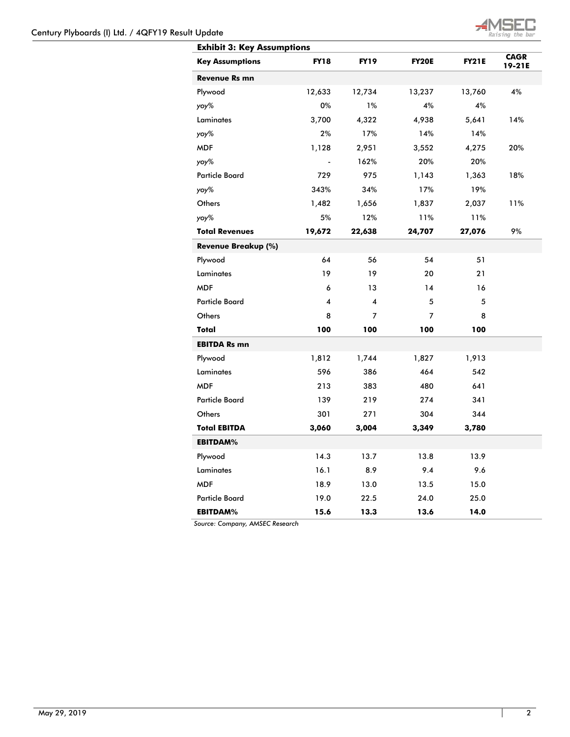

| <b>Exhibit 3: Key Assumptions</b> |             |             |              |              |                       |
|-----------------------------------|-------------|-------------|--------------|--------------|-----------------------|
| <b>Key Assumptions</b>            | <b>FY18</b> | <b>FY19</b> | <b>FY20E</b> | <b>FY21E</b> | <b>CAGR</b><br>19-21E |
| Revenue Rs mn                     |             |             |              |              |                       |
| Plywood                           | 12,633      | 12,734      | 13,237       | 13,760       | 4%                    |
| yoy%                              | 0%          | 1%          | 4%           | 4%           |                       |
| Laminates                         | 3,700       | 4,322       | 4,938        | 5,641        | 14%                   |
| yoy%                              | 2%          | 17%         | 14%          | 14%          |                       |
| <b>MDF</b>                        | 1,128       | 2,951       | 3,552        | 4,275        | 20%                   |
| yoy%                              |             | 162%        | 20%          | 20%          |                       |
| <b>Particle Board</b>             | 729         | 975         | 1,143        | 1,363        | 18%                   |
| yoy%                              | 343%        | 34%         | 17%          | 19%          |                       |
| Others                            | 1,482       | 1,656       | 1,837        | 2,037        | 11%                   |
| yoy%                              | 5%          | 12%         | 11%          | 11%          |                       |
| <b>Total Revenues</b>             | 19,672      | 22,638      | 24,707       | 27,076       | 9%                    |
| Revenue Breakup (%)               |             |             |              |              |                       |
| Plywood                           | 64          | 56          | 54           | 51           |                       |
| <b>Laminates</b>                  | 19          | 19          | 20           | 21           |                       |
| <b>MDF</b>                        | 6           | 13          | 14           | 16           |                       |
| <b>Particle Board</b>             | 4           | 4           | 5            | 5            |                       |
| Others                            | 8           | 7           | 7            | 8            |                       |
| Total                             | 100         | 100         | 100          | 100          |                       |
| <b>EBITDA Rs mn</b>               |             |             |              |              |                       |
| Plywood                           | 1,812       | 1,744       | 1,827        | 1,913        |                       |
| <b>Laminates</b>                  | 596         | 386         | 464          | 542          |                       |
| <b>MDF</b>                        | 213         | 383         | 480          | 641          |                       |
| <b>Particle Board</b>             | 139         | 219         | 274          | 341          |                       |
| Others                            | 301         | 271         | 304          | 344          |                       |
| <b>Total EBITDA</b>               | 3,060       | 3,004       | 3,349        | 3,780        |                       |
| <b>EBITDAM%</b>                   |             |             |              |              |                       |
| Plywood                           | 14.3        | 13.7        | 13.8         | 13.9         |                       |
| Laminates                         | 16.1        | 8.9         | 9.4          | 9.6          |                       |
| <b>MDF</b>                        | 18.9        | 13.0        | 13.5         | 15.0         |                       |
| <b>Particle Board</b>             | 19.0        | 22.5        | 24.0         | 25.0         |                       |
| <b>EBITDAM%</b>                   | 15.6        | 13.3        | 13.6         | 14.0         |                       |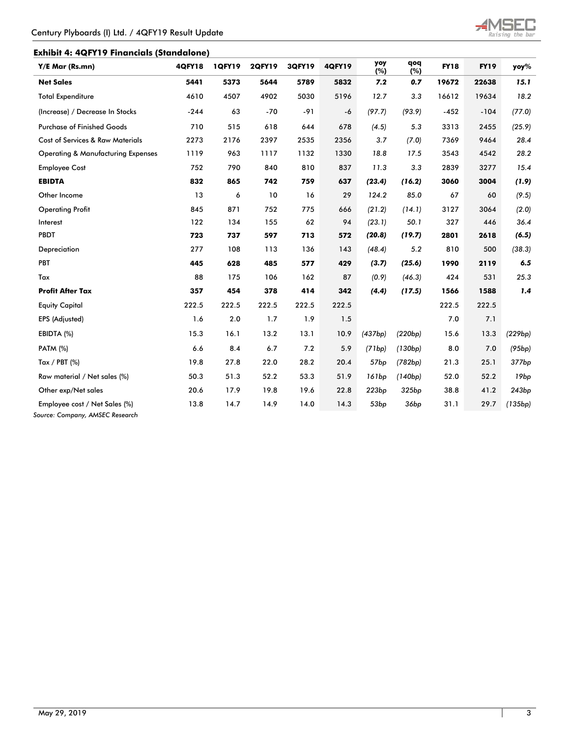

## **Exhibit 4: 4QFY19 Financials (Standalone)**

| Y/E Mar (Rs.mn)                               | <b>4QFY18</b> | 1QFY19 | <b>2QFY19</b> | <b>3QFY19</b> | <b>4QFY19</b> | yoy<br>(%)       | qoq<br>(%) | <b>FY18</b> | <b>FY19</b> | yoy%              |
|-----------------------------------------------|---------------|--------|---------------|---------------|---------------|------------------|------------|-------------|-------------|-------------------|
| <b>Net Sales</b>                              | 5441          | 5373   | 5644          | 5789          | 5832          | 7.2              | 0.7        | 19672       | 22638       | 15.1              |
| <b>Total Expenditure</b>                      | 4610          | 4507   | 4902          | 5030          | 5196          | 12.7             | 3.3        | 16612       | 19634       | 18.2              |
| (Increase) / Decrease In Stocks               | $-244$        | 63     | $-70$         | $-91$         | $-6$          | (97.7)           | (93.9)     | $-452$      | $-104$      | (77.0)            |
| <b>Purchase of Finished Goods</b>             | 710           | 515    | 618           | 644           | 678           | (4.5)            | 5.3        | 3313        | 2455        | (25.9)            |
| <b>Cost of Services &amp; Raw Materials</b>   | 2273          | 2176   | 2397          | 2535          | 2356          | 3.7              | (7.0)      | 7369        | 9464        | 28.4              |
| <b>Operating &amp; Manufacturing Expenses</b> | 1119          | 963    | 1117          | 1132          | 1330          | 18.8             | 17.5       | 3543        | 4542        | 28.2              |
| <b>Employee Cost</b>                          | 752           | 790    | 840           | 810           | 837           | 11.3             | 3.3        | 2839        | 3277        | 15.4              |
| <b>EBIDTA</b>                                 | 832           | 865    | 742           | 759           | 637           | (23.4)           | (16.2)     | 3060        | 3004        | (1.9)             |
| Other Income                                  | 13            | 6      | 10            | 16            | 29            | 124.2            | 85.0       | 67          | 60          | (9.5)             |
| <b>Operating Profit</b>                       | 845           | 871    | 752           | 775           | 666           | (21.2)           | (14.1)     | 3127        | 3064        | (2.0)             |
| Interest                                      | 122           | 134    | 155           | 62            | 94            | (23.1)           | 50.1       | 327         | 446         | 36.4              |
| <b>PBDT</b>                                   | 723           | 737    | 597           | 713           | 572           | (20.8)           | (19.7)     | 2801        | 2618        | (6.5)             |
| Depreciation                                  | 277           | 108    | 113           | 136           | 143           | (48.4)           | 5.2        | 810         | 500         | (38.3)            |
| PBT                                           | 445           | 628    | 485           | 577           | 429           | (3.7)            | (25.6)     | 1990        | 2119        | 6.5               |
| Tax                                           | 88            | 175    | 106           | 162           | 87            | (0.9)            | (46.3)     | 424         | 531         | 25.3              |
| <b>Profit After Tax</b>                       | 357           | 454    | 378           | 414           | 342           | (4.4)            | (17.5)     | 1566        | 1588        | 1.4               |
| <b>Equity Capital</b>                         | 222.5         | 222.5  | 222.5         | 222.5         | 222.5         |                  |            | 222.5       | 222.5       |                   |
| EPS (Adjusted)                                | 1.6           | 2.0    | 1.7           | 1.9           | 1.5           |                  |            | 7.0         | 7.1         |                   |
| EBIDTA (%)                                    | 15.3          | 16.1   | 13.2          | 13.1          | 10.9          | (437bp)          | (220bp)    | 15.6        | 13.3        | (229bp)           |
| <b>PATM (%)</b>                               | 6.6           | 8.4    | 6.7           | 7.2           | 5.9           | (71bp)           | (130bp)    | 8.0         | 7.0         | (95bp)            |
| Tax / PBT $(%)$                               | 19.8          | 27.8   | 22.0          | 28.2          | 20.4          | 57 <sub>bp</sub> | (782bp)    | 21.3        | 25.1        | 377bp             |
| Raw material / Net sales (%)                  | 50.3          | 51.3   | 52.2          | 53.3          | 51.9          | 161bp            | (140bp)    | 52.0        | 52.2        | 19bp              |
| Other exp/Net sales                           | 20.6          | 17.9   | 19.8          | 19.6          | 22.8          | 223bp            | 325bp      | 38.8        | 41.2        | 243 <sub>bp</sub> |
| Employee cost / Net Sales (%)                 | 13.8          | 14.7   | 14.9          | 14.0          | 14.3          | 53 <sub>bp</sub> | 36bp       | 31.1        | 29.7        | (135bp)           |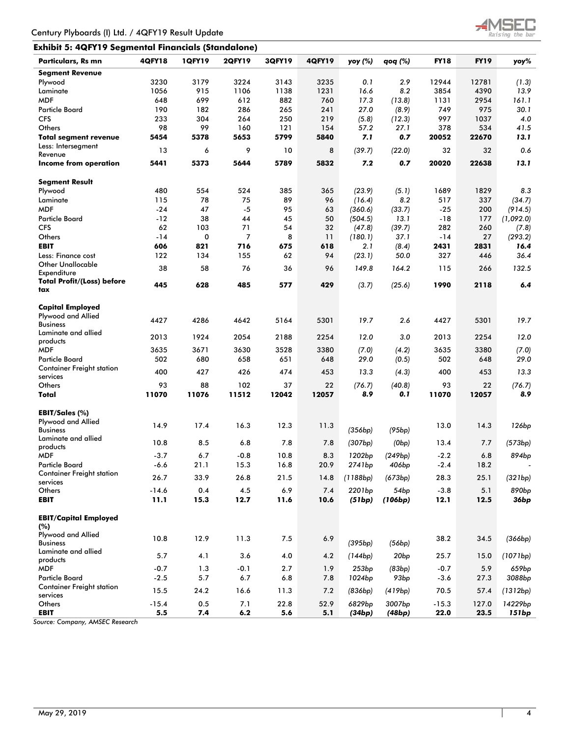

## **Exhibit 5: 4QFY19 Segmental Financials (Standalone)**

| Particulars, Rs mn                           | <b>4QFY18</b>   | <b>1QFY19</b> | <b>2QFY19</b> | 3QFY19      | <b>4QFY19</b> | yoy (%)  | qoq (%)          | <b>FY18</b> | <b>FY19</b> | yoy%              |
|----------------------------------------------|-----------------|---------------|---------------|-------------|---------------|----------|------------------|-------------|-------------|-------------------|
| <b>Segment Revenue</b>                       |                 |               |               |             |               |          |                  |             |             |                   |
| Plywood                                      | 3230            | 3179          | 3224          | 3143        | 3235          | 0.1      | 2.9              | 12944       | 12781       | (1.3)             |
| Laminate                                     | 1056            | 915           | 1106          | 1138        | 1231          | 16.6     | 8.2              | 3854        | 4390        | 13.9              |
| <b>MDF</b>                                   | 648             | 699           | 612           | 882         | 760           | 17.3     | (13.8)           | 1131        | 2954        | 161.1             |
| <b>Particle Board</b>                        | 190             | 182           | 286           | 265         | 241           | 27.0     | (8.9)            | 749         | 975         | 30.1              |
| <b>CFS</b>                                   | 233             | 304           | 264           | 250         | 219           | (5.8)    | (12.3)           | 997         | 1037        | 4.0               |
| Others                                       | 98              | 99            | 160           | 121         | 154           | 57.2     | 27.1             | 378         | 534         | 41.5              |
| <b>Total segment revenue</b>                 | 5454            | 5378          | 5653          | 5799        | 5840          | 7.1      | 0.7              | 20052       | 22670       | 13.1              |
| Less: Intersegment                           |                 |               |               |             |               |          |                  |             |             |                   |
| Revenue                                      | 13              | 6             | 9             | 10          | 8             | (39.7)   | (22.0)           | 32          | 32          | 0.6               |
| Income from operation                        | 5441            | 5373          | 5644          | 5789        | 5832          | 7.2      | 0.7              | 20020       | 22638       | 13.1              |
| <b>Segment Result</b>                        |                 |               |               |             |               |          |                  |             |             |                   |
| Plywood                                      | 480             | 554           | 524           | 385         | 365           | (23.9)   | (5.1)            | 1689        | 1829        | 8.3               |
| Laminate                                     | 115             | 78            | 75            | 89          | 96            | (16.4)   | 8.2              | 517         | 337         | (34.7)            |
| <b>MDF</b>                                   | $-24$           | 47            | $-5$          | 95          | 63            | (360.6)  | (33.7)           | $-25$       | 200         | (914.5)           |
| <b>Particle Board</b>                        | $-12$           | 38            | 44            | 45          | 50            | (504.5)  | 13.1             | $-18$       | 177         | (1,092.0)         |
| <b>CFS</b>                                   | 62              | 103           | 71            | 54          | 32            | (47.8)   | (39.7)           | 282         | 260         | (7.8)             |
| Others                                       | $-14$           | 0             | 7             | 8           | 11            | (180.1)  | 37.1             | -14         | 27          | (293.2)           |
| <b>EBIT</b>                                  | 606             | 821           | 716           | 675         | 618           | 2.1      | (8.4)            | 2431        | 2831        | 16.4              |
| Less: Finance cost                           | 122             | 134           | 155           | 62          | 94            | (23.1)   | 50.0             | 327         | 446         | 36.4              |
| <b>Other Unallocable</b><br>Expenditure      | 38              | 58            | 76            | 36          | 96            | 149.8    | 164.2            | 115         | 266         | 132.5             |
| <b>Total Profit/(Loss) before</b>            |                 |               |               |             |               |          |                  |             |             |                   |
| tax                                          | 445             | 628           | 485           | 577         | 429           | (3.7)    | (25.6)           | 1990        | 2118        | 6.4               |
| <b>Capital Employed</b>                      |                 |               |               |             |               |          |                  |             |             |                   |
| Plywood and Allied                           |                 |               |               |             |               |          |                  |             |             |                   |
| <b>Business</b>                              | 4427            | 4286          | 4642          | 5164        | 5301          | 19.7     | 2.6              | 4427        | 5301        | 19.7              |
| Laminate and allied                          |                 |               |               |             |               |          |                  |             |             |                   |
| products                                     | 2013            | 1924          | 2054          | 2188        | 2254          | 12.0     | 3.0              | 2013        | 2254        | 12.0              |
| <b>MDF</b>                                   | 3635            | 3671          | 3630          | 3528        | 3380          | (7.0)    | (4.2)            | 3635        | 3380        | (7.0)             |
| <b>Particle Board</b>                        | 502             | 680           | 658           | 651         | 648           | 29.0     | (0.5)            | 502         | 648         | 29.0              |
| <b>Container Freight station</b>             | 400             | 427           | 426           | 474         | 453           | 13.3     | (4.3)            | 400         | 453         | 13.3              |
| services                                     |                 |               |               |             |               |          |                  |             |             |                   |
| Others                                       | 93              | 88            | 102           | 37          | 22            | (76.7)   | (40.8)           | 93          | 22          | (76.7)            |
| Total                                        | 11070           | 11076         | 11512         | 12042       | 12057         | 8.9      | 0. 1             | 11070       | 12057       | 8.9               |
| EBIT/Sales (%)                               |                 |               |               |             |               |          |                  |             |             |                   |
| Plywood and Allied                           |                 |               |               |             |               |          |                  |             |             |                   |
| <b>Business</b>                              | 14.9            | 17.4          | 16.3          | 12.3        | 11.3          | (356bp)  | (95bp)           | 13.0        | 14.3        | 126 <sub>bp</sub> |
| Laminate and allied                          | 10.8            | 8.5           | 6.8           | 7.8         | 7.8           | (307bp)  | (0bp)            | 13.4        | 7.7         | (573bp)           |
| products                                     |                 |               |               |             |               |          |                  |             |             |                   |
| <b>MDF</b>                                   | $-3.7$          | 6.7           | $-0.8$        | 10.8        | 8.3           | 1202bp   | (249bp)          | $-2.2$      | 6.8         | 894bp             |
| <b>Particle Board</b>                        | $-6.6$          | 21.1          | 15.3          | 16.8        | 20.9          | 2741bp   | 406bp            | $-2.4$      | 18.2        |                   |
| <b>Container Freight station</b>             | 26.7            | 33.9          | 26.8          | 21.5        | 14.8          | (1188bp) | (673bp)          | 28.3        | 25.1        | (321bp)           |
| services                                     |                 |               |               |             |               |          |                  |             |             |                   |
| Others<br><b>EBIT</b>                        | $-14.6$<br>11.1 | 0.4<br>15.3   | 4.5<br>12.7   | 6.9<br>11.6 | 7.4<br>10.6   | 2201bp   | 54bp<br>(106bp)  | $-3.8$      | 5.1<br>12.5 | 890 <sub>bp</sub> |
|                                              |                 |               |               |             |               | (51bp)   |                  | 12.1        |             | 36bp              |
| <b>EBIT/Capital Employed</b>                 |                 |               |               |             |               |          |                  |             |             |                   |
| (%)                                          |                 |               |               |             |               |          |                  |             |             |                   |
| Plywood and Allied                           |                 |               |               |             |               |          |                  |             |             |                   |
| <b>Business</b>                              | 10.8            | 12.9          | 11.3          | $7.5$       | 6.9           | (395bp)  | (56bp)           | 38.2        | 34.5        | (366bp)           |
| Laminate and allied                          | 5.7             | 4.1           | 3.6           | 4.0         | 4.2           | (144bp)  | 20 <sub>bp</sub> | 25.7        | 15.0        | (1071bp)          |
| products                                     |                 |               |               |             |               |          |                  |             |             |                   |
| <b>MDF</b>                                   | $-0.7$          | 1.3           | $-0.1$        | 2.7         | 1.9           | 253bp    | (83bp)           | $-0.7$      | 5.9         | 659 <sub>bp</sub> |
| <b>Particle Board</b>                        | $-2.5$          | 5.7           | 6.7           | 6.8         | 7.8           | 1024bp   | 93 <sub>bp</sub> | $-3.6$      | 27.3        | 3088bp            |
| <b>Container Freight station</b><br>services | 15.5            | 24.2          | 16.6          | 11.3        | 7.2           | (836bp)  | (419bp)          | 70.5        | 57.4        | (1312bp)          |
| Others                                       | $-15.4$         | 0.5           | 7.1           | 22.8        | 52.9          | 6829bp   | 3007bp           | $-15.3$     | 127.0       | 14229bp           |
| <b>EBIT</b>                                  | 5.5             | 7.4           | 6.2           | $5.6\,$     | 5.1           | (34bp)   | (48bp)           | 22.0        | 23.5        | <b>151bp</b>      |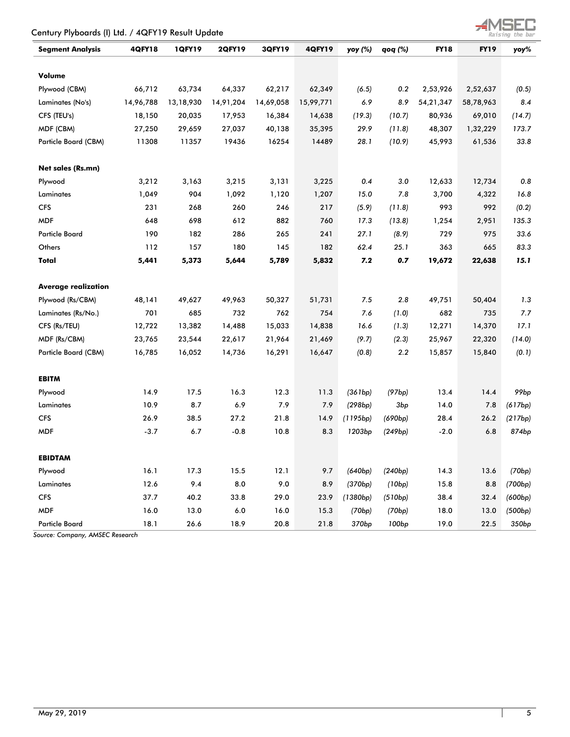| Century Plyboards (I) Ltd. / 4QFY19 Result Update |               |           |               |           |               |                    |         |             |             | Raising the bar   |
|---------------------------------------------------|---------------|-----------|---------------|-----------|---------------|--------------------|---------|-------------|-------------|-------------------|
| <b>Segment Analysis</b>                           | <b>4QFY18</b> | 1QFY19    | <b>2QFY19</b> | 3QFY19    | <b>4QFY19</b> | yoy (%)            | qoq (%) | <b>FY18</b> | <b>FY19</b> | yoy%              |
| Volume                                            |               |           |               |           |               |                    |         |             |             |                   |
| Plywood (CBM)                                     | 66,712        | 63,734    | 64,337        | 62,217    | 62,349        | (6.5)              | 0.2     | 2,53,926    | 2,52,637    | (0.5)             |
| Laminates (No's)                                  | 14,96,788     | 13,18,930 | 14,91,204     | 14,69,058 | 15,99,771     | 6.9                | 8.9     | 54,21,347   | 58,78,963   | 8.4               |
| CFS (TEU's)                                       | 18,150        | 20,035    | 17,953        | 16,384    | 14,638        | (19.3)             | (10.7)  | 80,936      | 69,010      | (14.7)            |
| MDF (CBM)                                         | 27,250        | 29,659    | 27,037        | 40,138    | 35,395        | 29.9               | (11.8)  | 48,307      | 1,32,229    | 173.7             |
| <b>Particle Board (CBM)</b>                       | 11308         | 11357     | 19436         | 16254     | 14489         | 28.1               | (10.9)  | 45,993      | 61,536      | 33.8              |
| <b>Net sales (Rs.mn)</b>                          |               |           |               |           |               |                    |         |             |             |                   |
| Plywood                                           | 3,212         | 3,163     | 3,215         | 3,131     | 3,225         | 0.4                | 3.0     | 12,633      | 12,734      | 0.8               |
| Laminates                                         | 1,049         | 904       | 1,092         | 1,120     | 1,207         | 15.0               | 7.8     | 3,700       | 4,322       | 16.8              |
| <b>CFS</b>                                        | 231           | 268       | 260           | 246       | 217           | (5.9)              | (11.8)  | 993         | 992         | (0.2)             |
| <b>MDF</b>                                        | 648           | 698       | 612           | 882       | 760           | 17.3               | (13.8)  | 1,254       | 2,951       | 135.3             |
| <b>Particle Board</b>                             | 190           | 182       | 286           | 265       | 241           | 27.1               | (8.9)   | 729         | 975         | 33.6              |
| Others                                            | 112           | 157       | 180           | 145       | 182           | 62.4               | 25.1    | 363         | 665         | 83.3              |
| Total                                             | 5,441         | 5,373     | 5,644         | 5,789     | 5,832         | 7.2                | 0.7     | 19,672      | 22,638      | 15.1              |
| <b>Average realization</b>                        |               |           |               |           |               |                    |         |             |             |                   |
| Plywood (Rs/CBM)                                  | 48,141        | 49,627    | 49,963        | 50,327    | 51,731        | 7.5                | 2.8     | 49,751      | 50,404      | 1.3               |
| Laminates (Rs/No.)                                | 701           | 685       | 732           | 762       | 754           | 7.6                | (1.0)   | 682         | 735         | 7.7               |
| CFS (Rs/TEU)                                      | 12,722        | 13,382    | 14,488        | 15,033    | 14,838        | 16.6               | (1.3)   | 12,271      | 14,370      | 17.1              |
| MDF (Rs/CBM)                                      | 23,765        | 23,544    | 22,617        | 21,964    | 21,469        | (9.7)              | (2.3)   | 25,967      | 22,320      | (14.0)            |
| Particle Board (CBM)                              | 16,785        | 16,052    | 14,736        | 16,291    | 16,647        | (0.8)              | 2.2     | 15,857      | 15,840      | (0.1)             |
| <b>EBITM</b>                                      |               |           |               |           |               |                    |         |             |             |                   |
| Plywood                                           | 14.9          | 17.5      | 16.3          | 12.3      | 11.3          | (361bp)            | (97bp)  | 13.4        | 14.4        | 99 <sub>bp</sub>  |
| Laminates                                         | 10.9          | 8.7       | 6.9           | 7.9       | 7.9           | (298bp)            | 3bp     | 14.0        | 7.8         | (617bp)           |
| <b>CFS</b>                                        | 26.9          | 38.5      | 27.2          | 21.8      | 14.9          | (1195bp)           | (690bp) | 28.4        | 26.2        | (217bp)           |
| <b>MDF</b>                                        | $-3.7$        | 6.7       | $-0.8$        | 10.8      | 8.3           | 1203 <sub>bp</sub> | (249bp) | $-2.0$      | 6.8         | 874bp             |
| <b>EBIDTAM</b>                                    |               |           |               |           |               |                    |         |             |             |                   |
| Plywood                                           | 16.1          | 17.3      | 15.5          | 12.1      | 9.7           | (640bp)            | (240bp) | 14.3        | 13.6        | (70bp)            |
| Laminates                                         | 12.6          | 9.4       | $\bf 8.0$     | 9.0       | 8.9           | (370bp)            | (10bp)  | 15.8        | 8.8         | (700bp)           |
| <b>CFS</b>                                        | 37.7          | 40.2      | 33.8          | 29.0      | 23.9          | (1380bp)           | (510bp) | 38.4        | 32.4        | (600bp)           |
| <b>MDF</b>                                        | 16.0          | 13.0      | $6.0\,$       | 16.0      | 15.3          | (70bp)             | (70bp)  | 18.0        | 13.0        | (500bp)           |
| <b>Particle Board</b>                             | 18.1          | 26.6      | 18.9          | 20.8      | 21.8          | 370 <sub>bp</sub>  | 100bp   | 19.0        | 22.5        | 350 <sub>bp</sub> |

## *Source: Company, AMSEC Research*

 $-4MSE$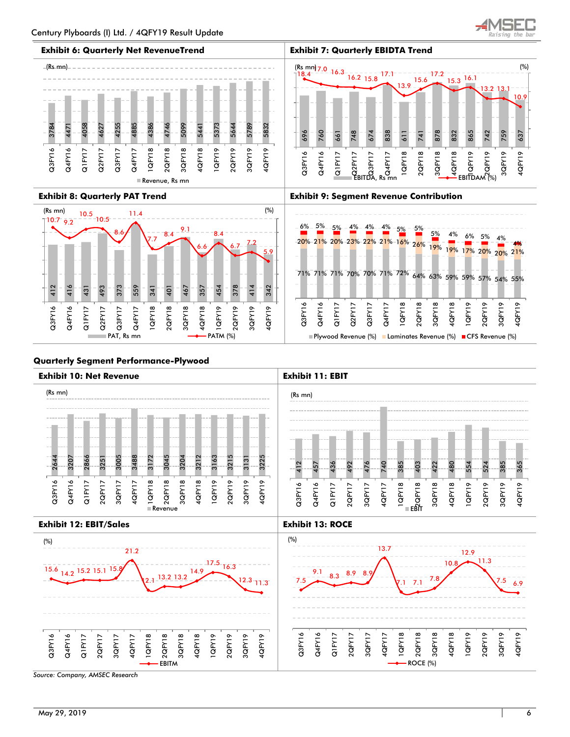

637

4QFY19

10





## **Quarterly Segment Performance-Plywood**

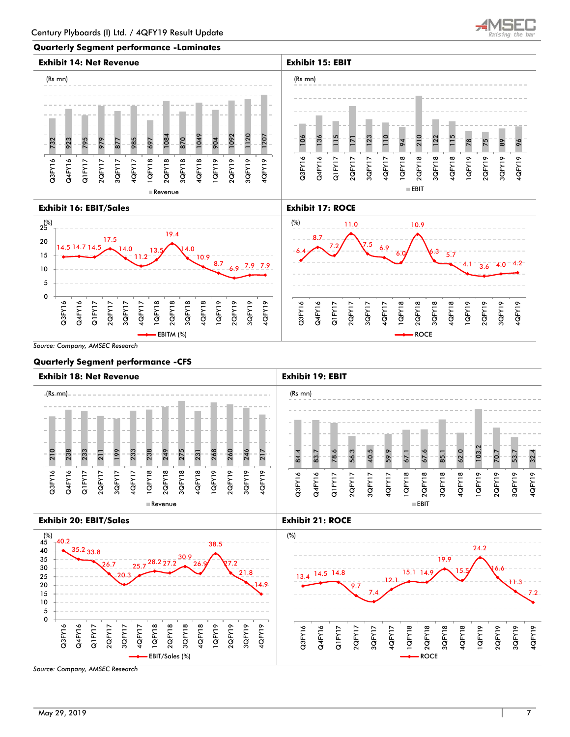

### **Quarterly Segment performance -Laminates**





*Source: Company, AMSEC Research* 

### **Quarterly Segment performance -CFS**



Q3FY16 Q4FY16 Q1FY17 2QFY17 3QFY17 4QFY17 1QFY18 2QFY18 3QFY18 4QFY18 1QFY19 2QFY19 3QFY19 4QFY19

9.7

7.4

12.1

**ROCE** 

14.9

EBIT/Sales (%)

Q3FY16 Q4FY16 Q1FY17 2QFY17 3QFY17 4QFY17 1QFY18 2QFY18 3QFY18 4QFY18 1QFY19 2QFY19 3QFY19 4QFY19

 $1.3$ 7.2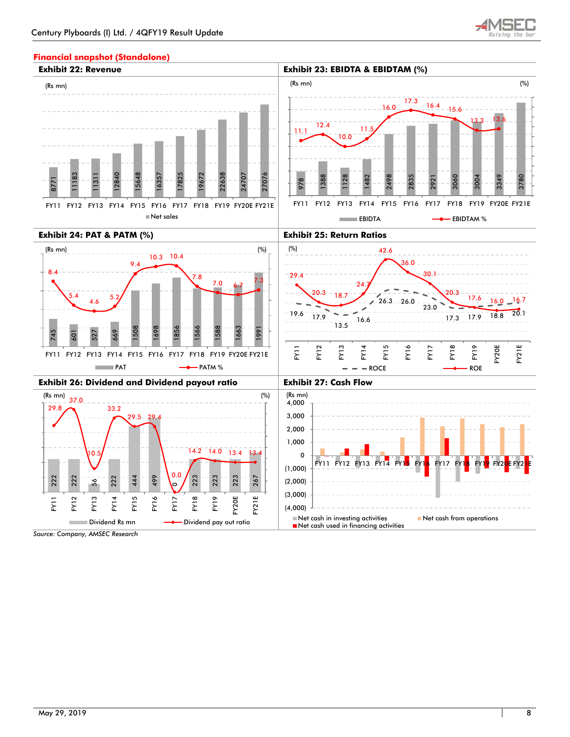

## **Financial snapshot (Standalone)**

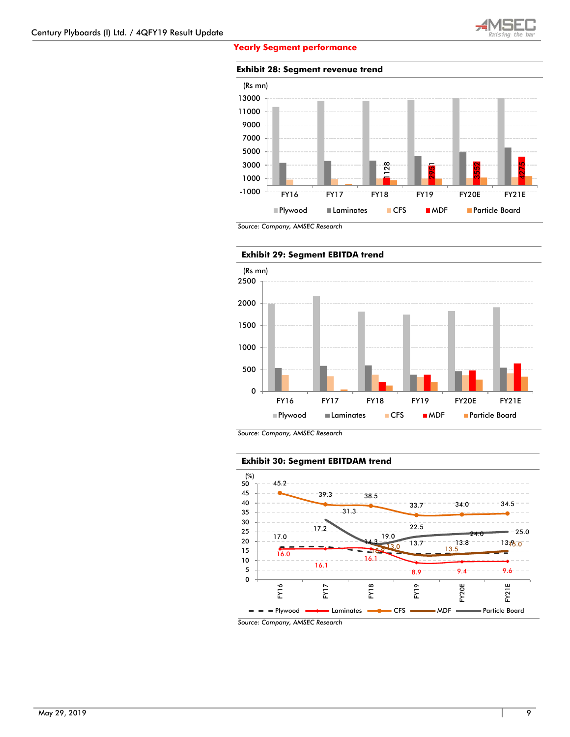

### **Yearly Segment performance**

**Exhibit 28: Segment revenue trend**



*Source: Company, AMSEC Research* 



*Source: Company, AMSEC Research* 

### **Exhibit 30: Segment EBITDAM trend**

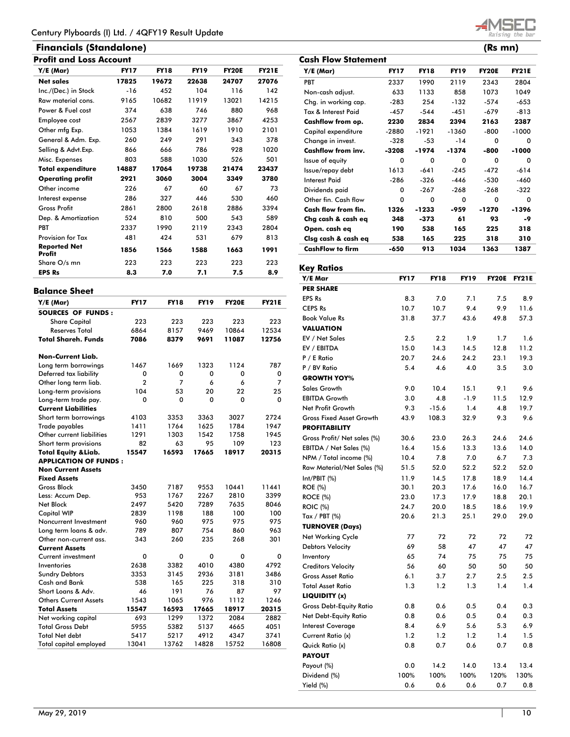# **Financials (Standalone) (Rs mn)**

| Y/E (Mar)                     | <b>FY17</b> | <b>FY18</b> | <b>FY19</b> | <b>FY20E</b> | <b>FY21E</b> |
|-------------------------------|-------------|-------------|-------------|--------------|--------------|
| <b>Net sales</b>              | 17825       | 19672       | 22638       | 24707        | 27076        |
| Inc./(Dec.) in Stock          | $-16$       | 452         | 104         | 116          | 142          |
| Raw material cons.            | 9165        | 10682       | 11919       | 13021        | 14215        |
| Power & Fuel cost             | 374         | 638         | 746         | 880          | 968          |
| Employee cost                 | 2567        | 2839        | 3277        | 3867         | 4253         |
| Other mfg Exp.                | 1053        | 1384        | 1619        | 1910         | 2101         |
| General & Adm. Exp.           | 260         | 249         | 291         | 343          | 378          |
| Selling & Advt.Exp.           | 866         | 666         | 786         | 928          | 1020         |
| Misc. Expenses                | 803         | 588         | 1030        | 526          | 501          |
| <b>Total expenditure</b>      | 14887       | 17064       | 19738       | 21474        | 23437        |
| <b>Operating profit</b>       | 2921        | 3060        | 3004        | 3349         | 3780         |
| Other income                  | 226         | 67          | 60          | 67           | 73           |
| Interest expense              | 286         | 327         | 446         | 530          | 460          |
| <b>Gross Profit</b>           | 2861        | 2800        | 2618        | 2886         | 3394         |
| Dep. & Amortization           | 524         | 810         | 500         | 543          | 589          |
| PBT                           | 2337        | 1990        | 2119        | 2343         | 2804         |
| <b>Provision for Tax</b>      | 481         | 424         | 531         | 679          | 813          |
| <b>Reported Net</b><br>Profit | 1856        | 1566        | 1588        | 1663         | 1991         |
| Share O/s mn                  | 223         | 223         | 223         | 223          | 223          |
| <b>EPS Rs</b>                 | 8.3         | 7.0         | 7.1         | 7.5          | 8.9          |

## **Balance Sheet**

| $Y/E$ (Mar)                     | <b>FY17</b>    | <b>FY18</b> | <b>FY19</b> | <b>FY20E</b> | <b>FY21E</b> |
|---------------------------------|----------------|-------------|-------------|--------------|--------------|
| <b>SOURCES OF FUNDS:</b>        |                |             |             |              |              |
| <b>Share Capital</b>            | 223            | 223         | 223         | 223          | 223          |
| <b>Reserves Total</b>           | 6864           | 8157        | 9469        | 10864        | 12534        |
| <b>Total Shareh. Funds</b>      | 7086           | 8379        | 9691        | 11087        | 12756        |
| <b>Non-Current Liab.</b>        |                |             |             |              |              |
| Long term borrowings            | 1467           | 1669        | 1323        | 1124         | 787          |
| Deferred tax liability          | 0              | 0           | 0           | 0            | 0            |
| Other long term liab.           | $\overline{2}$ | 7           | 6           | 6            | 7            |
| Long-term provisions            | 104            | 53          | 20          | 22           | 25           |
| Long-term trade pay.            | 0              | 0           | 0           | 0            | 0            |
| <b>Current Liabilities</b>      |                |             |             |              |              |
| Short term borrowings           | 4103           | 3353        | 3363        | 3027         | 2724         |
| <b>Trade payables</b>           | 1411           | 1764        | 1625        | 1784         | 1947         |
| Other current liabilities       | 1291           | 1303        | 1542        | 1758         | 1945         |
| Short term provisions           | 82             | 63          | 95          | 109          | 123          |
| <b>Total Equity &amp; Liab.</b> | 15547          | 16593       | 17665       | 18917        | 20315        |
| <b>APPLICATION OF FUNDS:</b>    |                |             |             |              |              |
| <b>Non Current Assets</b>       |                |             |             |              |              |
| <b>Fixed Assets</b>             |                |             |             |              |              |
| <b>Gross Block</b>              | 3450           | 7187        | 9553        | 10441        | 11441        |
| Less: Accum Dep.                | 953            | 1767        | 2267        | 2810         | 3399         |
| Net Block                       | 2497           | 5420        | 7289        | 7635         | 8046         |
| <b>Capital WIP</b>              | 2839           | 1198        | 188         | 100          | 100          |
| Noncurrent Investment           | 960            | 960         | 975         | 975          | 975          |
| Long term loans & adv.          | 789            | 807         | 754         | 860          | 963          |
| Other non-current ass.          | 343            | 260         | 235         | 268          | 301          |
| <b>Current Assets</b>           |                |             |             |              |              |
| Current investment              | 0              | 0           | 0           | 0            | 0            |
| Inventories                     | 2638           | 3382        | 4010        | 4380         | 4792         |
| <b>Sundry Debtors</b>           | 3353           | 3145        | 2936        | 3181         | 3486         |
| Cash and Bank                   | 538            | 165         | 225         | 318          | 310          |
| Short Loans & Adv.              | 46             | 191         | 76          | 87           | 97           |
| <b>Others Current Assets</b>    | 1543           | 1065        | 976         | 1112         | 1246         |
| <b>Total Assets</b>             | 15547          | 16593       | 17665       | 18917        | 20315        |
| Net working capital             | 693            | 1299        | 1372        | 2084         | 2882         |
| <b>Total Gross Debt</b>         | 5955           | 5382        | 5137        | 4665         | 4051         |
| <b>Total Net debt</b>           | 5417           | 5217        | 4912        | 4347         | 3741         |
| <b>Total capital employed</b>   | 13041          | 13762       | 14828       | 15752        | 16808        |
|                                 |                |             |             |              |              |

28. ZD

|                            |             |             |             |              | .,           |
|----------------------------|-------------|-------------|-------------|--------------|--------------|
| <b>Cash Flow Statement</b> |             |             |             |              |              |
| Y/E (Mar)                  | <b>FY17</b> | <b>FY18</b> | <b>FY19</b> | <b>FY20E</b> | <b>FY21E</b> |
| <b>PBT</b>                 | 2337        | 1990        | 2119        | 2343         | 2804         |
| Non-cash adjust.           | 633         | 1133        | 858         | 1073         | 1049         |
| Chg. in working cap.       | $-283$      | 254         | -132        | $-574$       | $-653$       |
| Tax & Interest Paid        | $-457$      | $-544$      | -451        | $-679$       | $-813$       |
| Cashflow from op.          | 2230        | 2834        | 2394        | 2163         | 2387         |
| Capital expenditure        | $-2880$     | -1921       | -1360       | -800         | $-1000$      |
| Change in invest.          | $-328$      | -53         | $-14$       | 0            | 0            |
| Cashflow from inv.         | $-3208$     | -1974       | -1374       | -800         | $-1000$      |
| Issue of equity            | 0           | $\Omega$    | 0           | $\Omega$     | 0            |
| Issue/repay debt           | 1613        | $-641$      | $-245$      | $-472$       | $-614$       |
| Interest Paid              | $-286$      | $-326$      | $-446$      | -530         | -460         |
| Dividends paid             | $\Omega$    | $-267$      | $-268$      | $-268$       | $-322$       |
| Other fin. Cash flow       | 0           | $\Omega$    | $\Omega$    | $\Omega$     | $\Omega$     |
| Cash flow from fin.        | 1326        | -1233       | -959        | -1270        | -1396        |
| Chg cash & cash eq         | 348         | -373        | 61          | 93           | -9           |
| Open. cash eq              | 190         | 538         | 165         | 225          | 318          |
| Clsg cash & cash eq        | 538         | 165         | 225         | 318          | 310          |
| <b>CashFlow to firm</b>    | -650        | 913         | 1034        | 1363         | 1387         |

## **Key Ratios**

| <b>PER SHARE</b><br><b>EPS Rs</b><br>8.3<br>7.0<br>7.1<br>7.5<br>8.9<br>9.4<br><b>CEPS Rs</b><br>10.7<br>9.9<br>11.6<br>10.7<br><b>Book Value Rs</b><br>31.8<br>43.6<br>57.3<br>37.7<br>49.8<br><b>VALUATION</b><br>EV / Net Sales<br>2.5<br>2.2<br>1.9<br>1.7<br>1.6<br>EV / EBITDA<br>14.3<br>15.0<br>14.5<br>12.8<br>11.2<br>P / E Ratio<br>19.3<br>20.7<br>24.6<br>24.2<br>23.1<br>5.4<br>4.6<br>4.0<br>3.0<br>P / BV Ratio<br>3.5<br><b>GROWTH YOY%</b><br>Sales Growth<br>9.0<br>9.1<br>9.6<br>10.4<br>15.1<br><b>EBITDA Growth</b><br>3.0<br>4.8<br>$-1.9$<br>12.9<br>11.5 | Y/E Mar           | <b>FY17</b> | <b>FY18</b> | <b>FY19</b> | <b>FY20E</b> | <b>FY21E</b> |
|-----------------------------------------------------------------------------------------------------------------------------------------------------------------------------------------------------------------------------------------------------------------------------------------------------------------------------------------------------------------------------------------------------------------------------------------------------------------------------------------------------------------------------------------------------------------------------------|-------------------|-------------|-------------|-------------|--------------|--------------|
|                                                                                                                                                                                                                                                                                                                                                                                                                                                                                                                                                                                   |                   |             |             |             |              |              |
|                                                                                                                                                                                                                                                                                                                                                                                                                                                                                                                                                                                   |                   |             |             |             |              |              |
|                                                                                                                                                                                                                                                                                                                                                                                                                                                                                                                                                                                   |                   |             |             |             |              |              |
|                                                                                                                                                                                                                                                                                                                                                                                                                                                                                                                                                                                   |                   |             |             |             |              |              |
|                                                                                                                                                                                                                                                                                                                                                                                                                                                                                                                                                                                   |                   |             |             |             |              |              |
|                                                                                                                                                                                                                                                                                                                                                                                                                                                                                                                                                                                   |                   |             |             |             |              |              |
|                                                                                                                                                                                                                                                                                                                                                                                                                                                                                                                                                                                   |                   |             |             |             |              |              |
|                                                                                                                                                                                                                                                                                                                                                                                                                                                                                                                                                                                   |                   |             |             |             |              |              |
|                                                                                                                                                                                                                                                                                                                                                                                                                                                                                                                                                                                   |                   |             |             |             |              |              |
|                                                                                                                                                                                                                                                                                                                                                                                                                                                                                                                                                                                   |                   |             |             |             |              |              |
|                                                                                                                                                                                                                                                                                                                                                                                                                                                                                                                                                                                   |                   |             |             |             |              |              |
|                                                                                                                                                                                                                                                                                                                                                                                                                                                                                                                                                                                   |                   |             |             |             |              |              |
| 1.4<br>4.8                                                                                                                                                                                                                                                                                                                                                                                                                                                                                                                                                                        | Net Profit Growth | 9.3         | $-15.6$     |             |              | 19.7         |
| <b>Gross Fixed Asset Growth</b><br>43.9<br>108.3<br>32.9<br>9.3<br>9.6                                                                                                                                                                                                                                                                                                                                                                                                                                                                                                            |                   |             |             |             |              |              |
| <b>PROFITABILITY</b>                                                                                                                                                                                                                                                                                                                                                                                                                                                                                                                                                              |                   |             |             |             |              |              |
| Gross Profit/ Net sales (%)<br>30.6<br>23.0<br>26.3<br>24.6<br>24.6                                                                                                                                                                                                                                                                                                                                                                                                                                                                                                               |                   |             |             |             |              |              |
| EBITDA / Net Sales (%)<br>16.4<br>15.6<br>13.3<br>13.6<br>14.0                                                                                                                                                                                                                                                                                                                                                                                                                                                                                                                    |                   |             |             |             |              |              |
| 6.7<br>7.3<br>NPM / Total income (%)<br>10.4<br>7.8<br>7.0                                                                                                                                                                                                                                                                                                                                                                                                                                                                                                                        |                   |             |             |             |              |              |
| 52.0<br>52.2<br>52.2<br>52.0<br>Raw Material/Net Sales (%)<br>51.5                                                                                                                                                                                                                                                                                                                                                                                                                                                                                                                |                   |             |             |             |              |              |
| 11.9<br>14.5<br>17.8<br>18.9<br>14.4<br>Int/PBIT (%)                                                                                                                                                                                                                                                                                                                                                                                                                                                                                                                              |                   |             |             |             |              |              |
| 20.3<br>16.7<br><b>ROE</b> (%)<br>30.1<br>17.6<br>16.0                                                                                                                                                                                                                                                                                                                                                                                                                                                                                                                            |                   |             |             |             |              |              |
| 17.3<br><b>ROCE (%)</b><br>23.0<br>17.9<br>18.8<br>20.1                                                                                                                                                                                                                                                                                                                                                                                                                                                                                                                           |                   |             |             |             |              |              |
| 24.7<br>20.0<br>18.6<br>19.9<br><b>ROIC</b> (%)<br>18.5                                                                                                                                                                                                                                                                                                                                                                                                                                                                                                                           |                   |             |             |             |              |              |
| 20.6<br>21.3<br>25.1<br>29.0<br>Tax / PBT (%)<br>29.0                                                                                                                                                                                                                                                                                                                                                                                                                                                                                                                             |                   |             |             |             |              |              |
| <b>TURNOVER (Days)</b>                                                                                                                                                                                                                                                                                                                                                                                                                                                                                                                                                            |                   |             |             |             |              |              |
| Net Working Cycle<br>77<br>72<br>72<br>72<br>72                                                                                                                                                                                                                                                                                                                                                                                                                                                                                                                                   |                   |             |             |             |              |              |
| 69<br>58<br>47<br>47<br><b>Debtors Velocity</b><br>47                                                                                                                                                                                                                                                                                                                                                                                                                                                                                                                             |                   |             |             |             |              |              |
| 65<br>74<br>75<br>75<br>75<br>Inventory                                                                                                                                                                                                                                                                                                                                                                                                                                                                                                                                           |                   |             |             |             |              |              |
| 56<br>60<br><b>Creditors Velocity</b><br>50<br>50<br>50                                                                                                                                                                                                                                                                                                                                                                                                                                                                                                                           |                   |             |             |             |              |              |
| 6.1<br>2.7<br>2.5<br><b>Gross Asset Ratio</b><br>3.7<br>2.5                                                                                                                                                                                                                                                                                                                                                                                                                                                                                                                       |                   |             |             |             |              |              |
| 1.3<br>1.4<br>1.4<br><b>Total Asset Ratio</b><br>1.2<br>1.3                                                                                                                                                                                                                                                                                                                                                                                                                                                                                                                       |                   |             |             |             |              |              |
| LIQUIDITY (x)                                                                                                                                                                                                                                                                                                                                                                                                                                                                                                                                                                     |                   |             |             |             |              |              |
| 0.4<br>0.3<br><b>Gross Debt-Equity Ratio</b><br>0.8<br>0.6<br>0.5                                                                                                                                                                                                                                                                                                                                                                                                                                                                                                                 |                   |             |             |             |              |              |
| Net Debt-Equity Ratio<br>0.5<br>0.4<br>0.3<br>0.8<br>0.6                                                                                                                                                                                                                                                                                                                                                                                                                                                                                                                          |                   |             |             |             |              |              |
| 8.4<br>6.9<br>5.6<br>5.3<br>6.9<br><b>Interest Coverage</b>                                                                                                                                                                                                                                                                                                                                                                                                                                                                                                                       |                   |             |             |             |              |              |
| Current Ratio (x)<br>1.2<br>1.2<br>1.2<br>1.4<br>1.5                                                                                                                                                                                                                                                                                                                                                                                                                                                                                                                              |                   |             |             |             |              |              |
| Quick Ratio (x)<br>0.8<br>0.7<br>0.6<br>0.7<br>0.8                                                                                                                                                                                                                                                                                                                                                                                                                                                                                                                                |                   |             |             |             |              |              |
| <b>PAYOUT</b>                                                                                                                                                                                                                                                                                                                                                                                                                                                                                                                                                                     |                   |             |             |             |              |              |
| 14.2<br>13.4<br>13.4<br>Payout (%)<br>0.0<br>14.0                                                                                                                                                                                                                                                                                                                                                                                                                                                                                                                                 |                   |             |             |             |              |              |
| 100%<br>100%<br>100%<br>Dividend (%)<br>120%<br>130%                                                                                                                                                                                                                                                                                                                                                                                                                                                                                                                              |                   |             |             |             |              |              |
| 0.6<br>0.6<br>0.6<br>0.7<br>0.8<br>Yield (%)                                                                                                                                                                                                                                                                                                                                                                                                                                                                                                                                      |                   |             |             |             |              |              |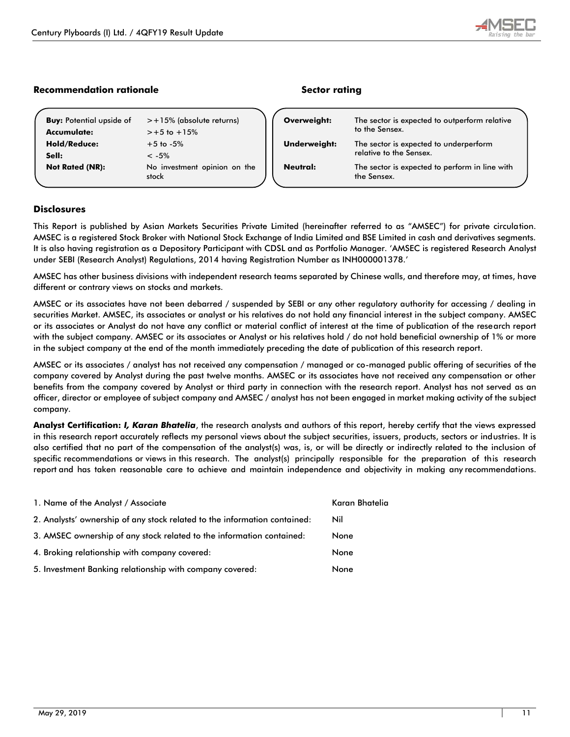# **Recommendation rationale Sector rating**

| <b>Buy:</b> Potential upside of | $> +15\%$ (absolute returns)          |
|---------------------------------|---------------------------------------|
| Accumulate:                     | $> +5$ to $+15%$                      |
| <b>Hold/Reduce:</b>             | $+5$ to $-5\%$                        |
| Sell:                           | $<-5%$                                |
| <b>Not Rated (NR):</b>          | No investment opinion on the<br>stock |

| Overweight:         | The sector is expected to outperform relative<br>to the Sensex.   |  |
|---------------------|-------------------------------------------------------------------|--|
| <b>Underweight:</b> | The sector is expected to underperform<br>relative to the Sensex. |  |
| Neutral:            | The sector is expected to perform in line with<br>the Sensex.     |  |

## **Disclosures**

This Report is published by Asian Markets Securities Private Limited (hereinafter referred to as "AMSEC") for private circulation. AMSEC is a registered Stock Broker with National Stock Exchange of India Limited and BSE Limited in cash and derivatives segments. It is also having registration as a Depository Participant with CDSL and as Portfolio Manager. 'AMSEC is registered Research Analyst under SEBI (Research Analyst) Regulations, 2014 having Registration Number as INH000001378.'

AMSEC has other business divisions with independent research teams separated by Chinese walls, and therefore may, at times, have different or contrary views on stocks and markets.

AMSEC or its associates have not been debarred / suspended by SEBI or any other regulatory authority for accessing / dealing in securities Market. AMSEC, its associates or analyst or his relatives do not hold any financial interest in the subject company. AMSEC or its associates or Analyst do not have any conflict or material conflict of interest at the time of publication of the research report with the subject company. AMSEC or its associates or Analyst or his relatives hold / do not hold beneficial ownership of 1% or more in the subject company at the end of the month immediately preceding the date of publication of this research report.

AMSEC or its associates / analyst has not received any compensation / managed or co-managed public offering of securities of the company covered by Analyst during the past twelve months. AMSEC or its associates have not received any compensation or other benefits from the company covered by Analyst or third party in connection with the research report. Analyst has not served as an officer, director or employee of subject company and AMSEC / analyst has not been engaged in market making activity of the subject company.

**Analyst Certification:** *I, Karan Bhatelia*, the research analysts and authors of this report, hereby certify that the views expressed in this research report accurately reflects my personal views about the subject securities, issuers, products, sectors or industries. It is also certified that no part of the compensation of the analyst(s) was, is, or will be directly or indirectly related to the inclusion of specific recommendations or views in this research. The analyst(s) principally responsible for the preparation of this research report and has taken reasonable care to achieve and maintain independence and objectivity in making any recommendations.

| 1. Name of the Analyst / Associate                                        | Karan Bhatelia |
|---------------------------------------------------------------------------|----------------|
| 2. Analysts' ownership of any stock related to the information contained: | Nil            |
| 3. AMSEC ownership of any stock related to the information contained:     | None           |
| 4. Broking relationship with company covered:                             | None           |
| 5. Investment Banking relationship with company covered:                  | None           |